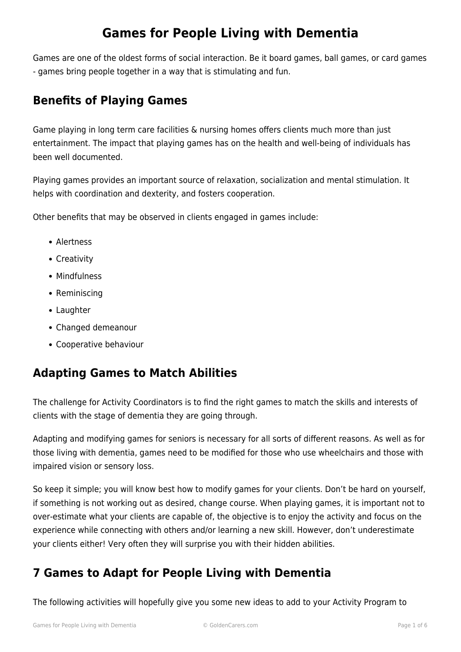Games are one of the oldest forms of social interaction. Be it board games, ball games, or card games - games bring people together in a way that is stimulating and fun.

### **Benefits of Playing Games**

Game playing in long term care facilities & nursing homes offers clients much more than just entertainment. The impact that playing games has on the health and well-being of individuals has been well documented.

Playing games provides an important source of relaxation, socialization and mental stimulation. It helps with coordination and dexterity, and fosters cooperation.

Other benefits that may be observed in clients engaged in games include:

- Alertness
- Creativity
- Mindfulness
- Reminiscing
- Laughter
- Changed demeanour
- Cooperative behaviour

### **Adapting Games to Match Abilities**

The challenge for Activity Coordinators is to find the right games to match the skills and interests of clients with the stage of dementia they are going through.

Adapting and modifying games for seniors is necessary for all sorts of different reasons. As well as for those living with dementia, games need to be modified for those who use wheelchairs and those with impaired vision or sensory loss.

So keep it simple; you will know best how to modify games for your clients. Don't be hard on yourself, if something is not working out as desired, change course. When playing games, it is important not to over-estimate what your clients are capable of, the objective is to enjoy the activity and focus on the experience while connecting with others and/or learning a new skill. However, don't underestimate your clients either! Very often they will surprise you with their hidden abilities.

### **7 Games to Adapt for People Living with Dementia**

The following activities will hopefully give you some new ideas to add to your Activity Program to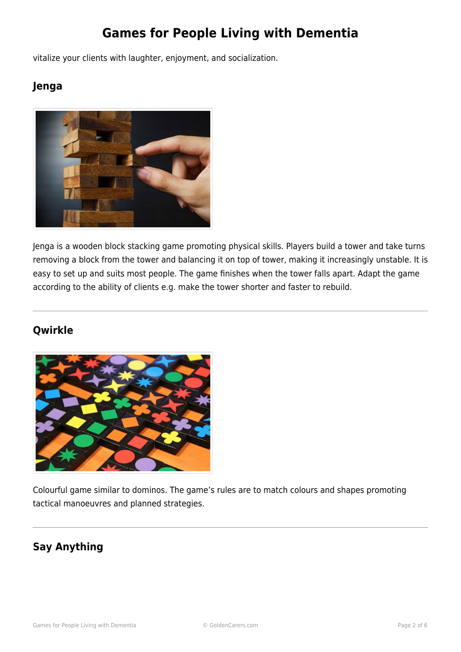vitalize your clients with laughter, enjoyment, and socialization.

### **Jenga**



Jenga is a wooden block stacking game promoting physical skills. Players build a tower and take turns removing a block from the tower and balancing it on top of tower, making it increasingly unstable. It is easy to set up and suits most people. The game finishes when the tower falls apart. Adapt the game according to the ability of clients e.g. make the tower shorter and faster to rebuild.

#### **Qwirkle**



Colourful game similar to dominos. The game's rules are to match colours and shapes promoting tactical manoeuvres and planned strategies.

#### **Say Anything**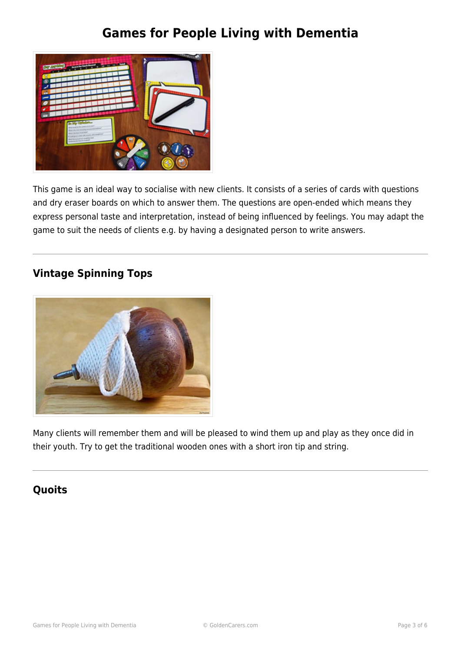

This game is an ideal way to socialise with new clients. It consists of a series of cards with questions and dry eraser boards on which to answer them. The questions are open-ended which means they express personal taste and interpretation, instead of being influenced by feelings. You may adapt the game to suit the needs of clients e.g. by having a designated person to write answers.

#### **Vintage Spinning Tops**



Many clients will remember them and will be pleased to wind them up and play as they once did in their youth. Try to get the traditional wooden ones with a short iron tip and string.

#### **Quoits**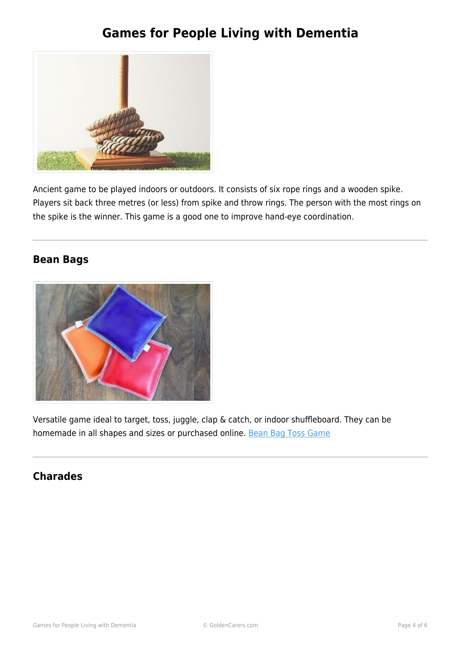

Ancient game to be played indoors or outdoors. It consists of six rope rings and a wooden spike. Players sit back three metres (or less) from spike and throw rings. The person with the most rings on the spike is the winner. This game is a good one to improve hand-eye coordination.

#### **Bean Bags**



Versatile game ideal to target, toss, juggle, clap & catch, or indoor shuffleboard. They can be homemade in all shapes and sizes or purchased online. [Bean Bag Toss Game](https://www.goldencarers.com/bean-bag-toss/3649/)

#### **Charades**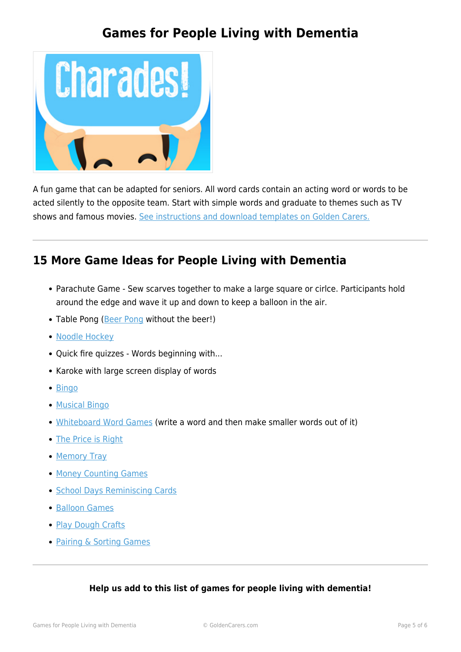

A fun game that can be adapted for seniors. All word cards contain an acting word or words to be acted silently to the opposite team. Start with simple words and graduate to themes such as TV shows and famous movies. [See instructions and download templates on Golden Carers.](https://www.goldencarers.com/charades-game/4780/)

### **15 More Game Ideas for People Living with Dementia**

- Parachute Game Sew scarves together to make a large square or cirlce. Participants hold around the edge and wave it up and down to keep a balloon in the air.
- Table Pong [\(Beer Pong](https://www.goldencarers.com/beer-pong-game/4032/) without the beer!)
- [Noodle Hockey](https://www.goldencarers.com/noodle-soccer/4629/)
- Quick fire quizzes Words beginning with...
- Karoke with large screen display of words
- [Bingo](https://www.goldencarers.com/playing-bingo-history-rules-bingo-calls/4474/)
- [Musical Bingo](https://www.goldencarers.com/musical-bingo/3188/)
- [Whiteboard Word Games](https://www.goldencarers.com/word-game/3199/) (write a word and then make smaller words out of it)
- [The Price is Right](https://www.goldencarers.com/the-price-is-right-game/3200/)
- [Memory Tray](https://www.goldencarers.com/memory-tray/4724/)
- [Money Counting Games](https://www.goldencarers.com/money-counting/4137/)
- [School Days Reminiscing Cards](https://www.goldencarers.com/school-days-reminiscing-cards/3831/)
- [Balloon Games](https://www.goldencarers.com/balloon-games/3196/)
- [Play Dough Crafts](https://www.goldencarers.com/play-dough-crafts/4020/)
- [Pairing & Sorting Games](https://www.goldencarers.com/pairing-sorting/3777/)

#### **Help us add to this list of games for people living with dementia!**